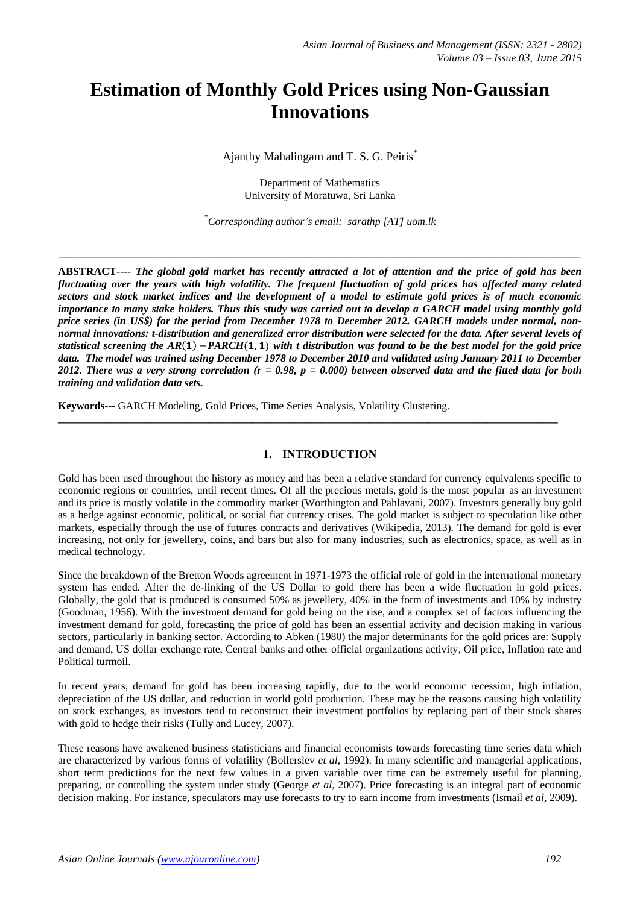# **Estimation of Monthly Gold Prices using Non-Gaussian Innovations**

Ajanthy Mahalingam and T. S. G. Peiris\*

Department of Mathematics University of Moratuwa, Sri Lanka

*\*Corresponding author's email: sarathp [AT] uom.lk*

\_\_\_\_\_\_\_\_\_\_\_\_\_\_\_\_\_\_\_\_\_\_\_\_\_\_\_\_\_\_\_\_\_\_\_\_\_\_\_\_\_\_\_\_\_\_\_\_\_\_\_\_\_\_\_\_\_\_\_\_\_\_\_\_\_\_\_\_\_\_\_\_\_\_\_\_\_\_\_\_\_\_\_\_\_\_\_\_\_\_\_\_\_\_\_\_\_

**ABSTRACT----** *The global gold market has recently attracted a lot of attention and the price of gold has been fluctuating over the years with high volatility. The frequent fluctuation of gold prices has affected many related sectors and stock market indices and the development of a model to estimate gold prices is of much economic importance to many stake holders. Thus this study was carried out to develop a GARCH model using monthly gold price series (in US\$) for the period from December 1978 to December 2012. GARCH models under normal, nonnormal innovations: t-distribution and generalized error distribution were selected for the data. After several levels of statistical screening the AR*(1)  $-PARCH(1, 1)$  *with t distribution was found to be the best model for the gold price data. The model was trained using December 1978 to December 2010 and validated using January 2011 to December 2012. There was a very strong correlation (r = 0.98, p = 0.000) between observed data and the fitted data for both training and validation data sets.*

**Keywords---** GARCH Modeling, Gold Prices, Time Series Analysis, Volatility Clustering.

## **1. INTRODUCTION**

**\_\_\_\_\_\_\_\_\_\_\_\_\_\_\_\_\_\_\_\_\_\_\_\_\_\_\_\_\_\_\_\_\_\_\_\_\_\_\_\_\_\_\_\_\_\_\_\_\_\_\_\_\_\_\_\_\_\_\_\_\_\_\_\_\_\_\_\_\_\_\_\_\_\_\_\_\_\_\_\_\_\_\_\_\_\_\_\_\_\_\_\_\_**

Gold has been used throughout the history as money and has been a relative standard for currency equivalents specific to economic regions or countries, until recent times. Of all the precious metals, gold is the most popular as an investment and its price is mostly volatile in the commodity market (Worthington and Pahlavani, 2007). Investors generally buy gold as a hedge against economic, political, or social fiat currency crises. The gold market is subject to speculation like other markets, especially through the use of futures contracts and derivatives (Wikipedia, 2013). The demand for gold is ever increasing, not only for jewellery, coins, and bars but also for many industries, such as electronics, space, as well as in medical technology.

Since the breakdown of the Bretton Woods agreement in 1971-1973 the official role of gold in the international monetary system has ended. After the de-linking of the US Dollar to gold there has been a wide fluctuation in gold prices. Globally, the gold that is produced is consumed 50% as jewellery, 40% in the form of investments and 10% by industry (Goodman, 1956). With the investment demand for gold being on the rise, and a complex set of factors influencing the investment demand for gold, forecasting the price of gold has been an essential activity and decision making in various sectors, particularly in banking sector. According to Abken (1980) the major determinants for the gold prices are: Supply and demand, US dollar exchange rate, Central banks and other official organizations activity, Oil price, Inflation rate and Political turmoil.

In recent years, demand for gold has been increasing rapidly, due to the world economic recession, high inflation, depreciation of the US dollar, and reduction in world gold production. These may be the reasons causing high volatility on stock exchanges, as investors tend to reconstruct their investment portfolios by replacing part of their stock shares with gold to hedge their risks (Tully and Lucey, 2007).

These reasons have awakened business statisticians and financial economists towards forecasting time series data which are characterized by various forms of volatility (Bollerslev *et al*, 1992). In many scientific and managerial applications, short term predictions for the next few values in a given variable over time can be extremely useful for planning, preparing, or controlling the system under study (George *et al*, 2007). Price forecasting is an integral part of economic decision making. For instance, speculators may use forecasts to try to earn income from investments (Ismail *et al*, 2009).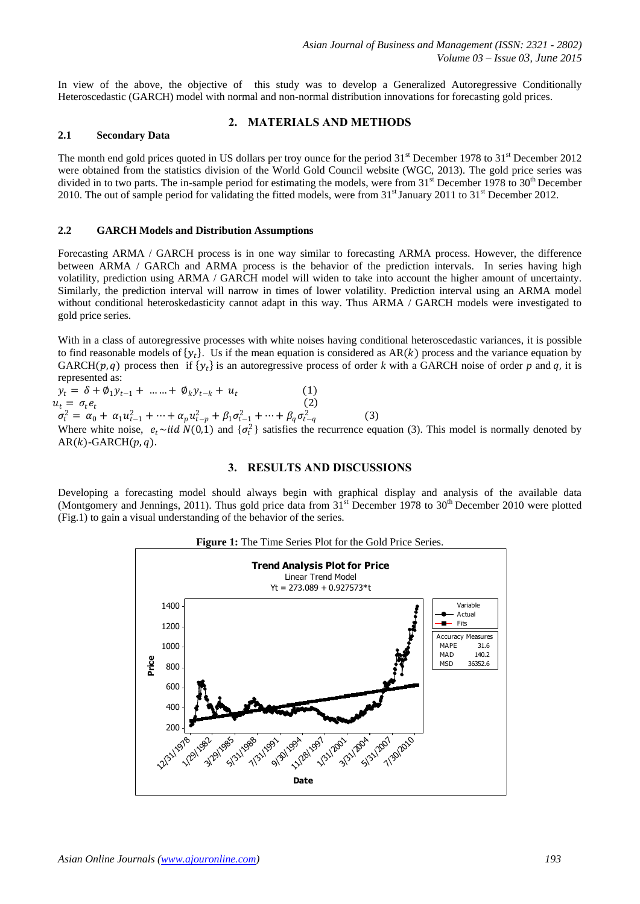In view of the above, the objective of this study was to develop a Generalized Autoregressive Conditionally Heteroscedastic (GARCH) model with normal and non-normal distribution innovations for forecasting gold prices.

## **2. MATERIALS AND METHODS**

#### **2.1 Secondary Data**

The month end gold prices quoted in US dollars per troy ounce for the period 31<sup>st</sup> December 1978 to 31<sup>st</sup> December 2012 were obtained from the statistics division of the World Gold Council website (WGC, 2013). The gold price series was divided in to two parts. The in-sample period for estimating the models, were from  $31<sup>st</sup>$  December 1978 to  $30<sup>th</sup>$  December 2010. The out of sample period for validating the fitted models, were from  $31<sup>st</sup>$  January 2011 to  $31<sup>st</sup>$  December 2012.

#### **2.2 GARCH Models and Distribution Assumptions**

Forecasting ARMA / GARCH process is in one way similar to forecasting ARMA process. However, the difference between ARMA / GARCh and ARMA process is the behavior of the prediction intervals. In series having high volatility, prediction using ARMA / GARCH model will widen to take into account the higher amount of uncertainty. Similarly, the prediction interval will narrow in times of lower volatility. Prediction interval using an ARMA model without conditional heteroskedasticity cannot adapt in this way. Thus ARMA / GARCH models were investigated to gold price series.

With in a class of autoregressive processes with white noises having conditional heteroscedastic variances, it is possible to find reasonable models of  $\{y_t\}$ . Us if the mean equation is considered as AR(k) process and the variance equation by GARCH( $p$ ,  $q$ ) process then if  $\{y_t\}$  is an autoregressive process of order k with a GARCH noise of order p and  $q$ , it is represented as:

 $y_t = \delta + \phi_1 y_{t-1} + \dots + \phi_k y_{t-k} + u_t$  (1)  $u_t = \sigma_t e_t$  $(2)$  $\sigma_t^2 = \alpha_0 + \alpha_1 u_{t-1}^2 + \dots + \alpha_p u_{t-p}^2 + \beta_1 \sigma_{t-1}^2 + \dots + \beta_q \sigma_{t-q}^2$  (3) Where white noise,  $e_t \sim \text{iid } N(0,1)$  and  $\{\sigma_t^2\}$  satisfies the recurrence equation (3). This model is normally denoted by  $AR(k)$ -GARCH $(p, q)$ .

# **3. RESULTS AND DISCUSSIONS**

Developing a forecasting model should always begin with graphical display and analysis of the available data (Montgomery and Jennings, 2011). Thus gold price data from  $31<sup>st</sup>$  December 1978 to  $30<sup>th</sup>$  December 2010 were plotted (Fig.1) to gain a visual understanding of the behavior of the series.



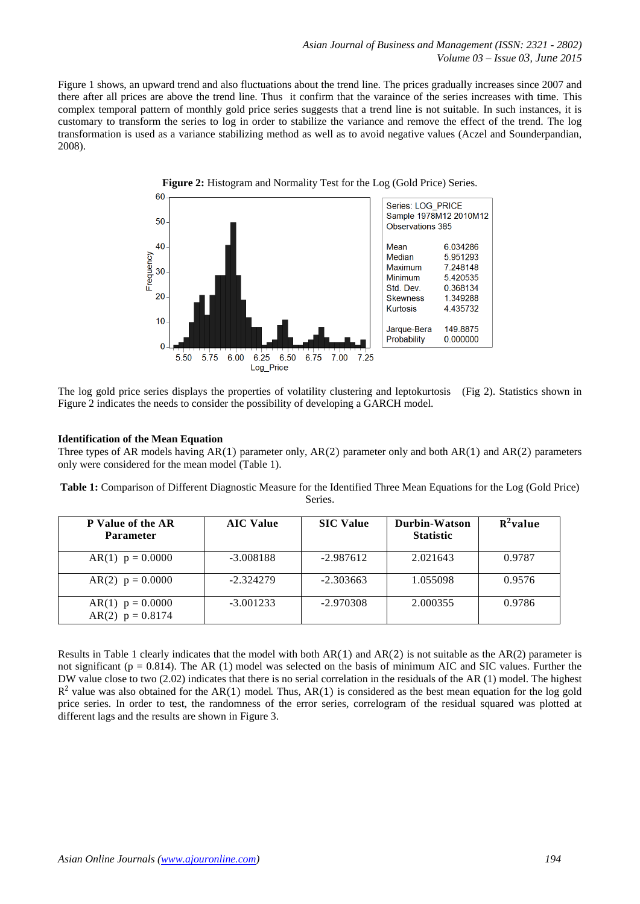Figure 1 shows, an upward trend and also fluctuations about the trend line. The prices gradually increases since 2007 and there after all prices are above the trend line. Thus it confirm that the varaince of the series increases with time. This complex temporal pattern of monthly gold price series suggests that a trend line is not suitable. In such instances, it is customary to transform the series to log in order to stabilize the variance and remove the effect of the trend. The log transformation is used as a variance stabilizing method as well as to avoid negative values (Aczel and Sounderpandian, 2008).



The log gold price series displays the properties of volatility clustering and leptokurtosis (Fig 2). Statistics shown in Figure 2 indicates the needs to consider the possibility of developing a GARCH model.

#### **Identification of the Mean Equation**

Three types of AR models having AR(1) parameter only, AR(2) parameter only and both AR(1) and AR(2) parameters only were considered for the mean model (Table 1).

**Table 1:** Comparison of Different Diagnostic Measure for the Identified Three Mean Equations for the Log (Gold Price) Series.

| <b>P</b> Value of the AR<br><b>Parameter</b> | <b>AIC Value</b> | <b>SIC Value</b> | Durbin-Watson<br><b>Statistic</b> | $R^2$ value |
|----------------------------------------------|------------------|------------------|-----------------------------------|-------------|
| AR(1) $p = 0.0000$                           | $-3.008188$      | $-2.987612$      | 2.021643                          | 0.9787      |
| $AR(2)$ $p = 0.0000$                         | $-2.324279$      | $-2.303663$      | 1.055098                          | 0.9576      |
| AR(1) $p = 0.0000$<br>AR(2) $p = 0.8174$     | $-3.001233$      | $-2.970308$      | 2.000355                          | 0.9786      |

Results in Table 1 clearly indicates that the model with both  $AR(1)$  and  $AR(2)$  is not suitable as the  $AR(2)$  parameter is not significant ( $p = 0.814$ ). The AR (1) model was selected on the basis of minimum AIC and SIC values. Further the DW value close to two (2.02) indicates that there is no serial correlation in the residuals of the AR (1) model. The highest  $R<sup>2</sup>$  value was also obtained for the AR(1) model. Thus, AR(1) is considered as the best mean equation for the log gold price series. In order to test, the randomness of the error series, correlogram of the residual squared was plotted at different lags and the results are shown in Figure 3.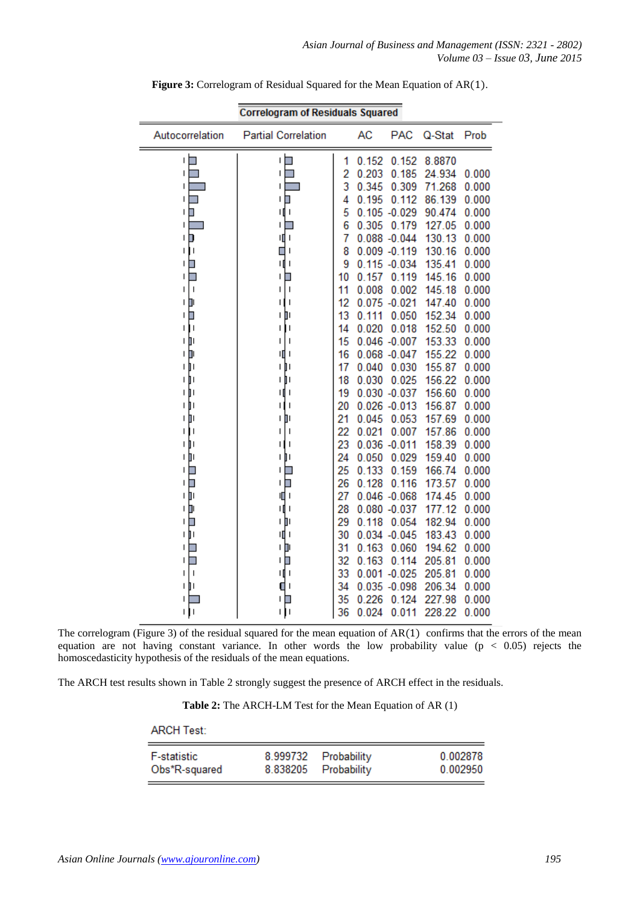| <b>Correlogram of Residuals Squared</b> |                                |    |       |                 |        |       |
|-----------------------------------------|--------------------------------|----|-------|-----------------|--------|-------|
| Autocorrelation                         | <b>Partial Correlation</b>     |    | AC    | <b>PAC</b>      | Q-Stat | Prob  |
| П                                       | ı                              | 1  | 0.152 | 0.152           | 8.8870 |       |
| ı                                       | I                              | 2  | 0.203 | 0.185           | 24.934 | 0.000 |
| ı                                       | ı                              | 3  | 0.345 | 0.309           | 71.268 | 0.000 |
| ı                                       | ı<br>∎                         | 4  | 0.195 | 0.112           | 86.139 | 0.000 |
| $\mathsf{I}$<br>П                       | 1∥ 1                           | 5  |       | $0.105 - 0.029$ | 90.474 | 0.000 |
| I                                       | ı                              | 6  | 0.305 | 0.179           | 127.05 | 0.000 |
| ם ו                                     | 咀!                             | 7  |       | $0.088 - 0.044$ | 130.13 | 0.000 |
| п<br>Т                                  | П<br>ı                         | 8  |       | $0.009 - 0.119$ | 130.16 | 0.000 |
| $\blacksquare$<br>ı                     | щı                             | 9  |       | $0.115 - 0.034$ | 135.41 | 0.000 |
| □<br>Н                                  | ∎<br>ı                         | 10 | 0.157 | 0.119           | 145.16 | 0.000 |
| $\mathsf{I}$<br>ı                       | I                              | 11 | 0.008 | 0.002           | 145.18 | 0.000 |
| Þ<br>ı                                  | ı                              | 12 |       | $0.075 - 0.021$ | 147.40 | 0.000 |
| $\mathsf{I}$<br>Π                       | ון<br>ı                        | 13 | 0.111 | 0.050           | 152.34 | 0.000 |
| $\overline{\phantom{a}}$<br>ı           | I                              | 14 | 0.020 | 0.018           | 152.50 | 0.000 |
| Ш<br>I                                  | ı<br>ı                         | 15 |       | $0.046 - 0.007$ | 153.33 | 0.000 |
| יםׂו                                    | Ш<br>ı                         | 16 |       | $0.068 - 0.047$ | 155.22 | 0.000 |
| τþι                                     | ΙIJ                            | 17 | 0.040 | 0.030           | 155.87 | 0.000 |
| ΠŢ                                      | ΙIJ                            | 18 | 0.030 | 0.025           | 156.22 | 0.000 |
| 1    I                                  | I<br>Ш                         | 19 |       | $0.030 - 0.037$ | 156.60 | 0.000 |
| Ì١<br>L                                 | ı<br>Н                         | 20 |       | $0.026 - 0.013$ | 156.87 | 0.000 |
| Ш<br>I                                  | Ш<br>I                         | 21 | 0.045 | 0.053           | 157.69 | 0.000 |
| $\overline{\phantom{a}}$<br>ı           | ı                              | 22 | 0.021 | 0.007           | 157.86 | 0.000 |
| Ш<br>$\mathsf{I}$                       | ı                              | 23 |       | $0.036 - 0.011$ | 158.39 | 0.000 |
| τŅ                                      | ħ۱<br>L                        | 24 | 0.050 | 0.029           | 159.40 | 0.000 |
| ╹                                       | ı<br>∎                         | 25 | 0.133 | 0.159           | 166.74 | 0.000 |
| ╹□                                      | ▉<br>L                         | 26 | 0.128 | 0.116           | 173.57 | 0.000 |
| ١Þ                                      | ЩI                             | 27 |       | $0.046 - 0.068$ | 174.45 | 0.000 |
| Þ<br>L                                  | ı<br>Щ                         | 28 |       | $0.080 - 0.037$ | 177.12 | 0.000 |
| ı<br>□                                  | ۱IJ                            | 29 | 0.118 | 0.054           | 182.94 | 0.000 |
| Ш<br>ı                                  | ı                              | 30 |       | $0.034 - 0.045$ | 183.43 | 0.000 |
| I                                       | Ш<br>ı                         | 31 | 0.163 | 0.060           | 194.62 | 0.000 |
| L                                       | L                              | 32 | 0.163 | 0.114           | 205.81 | 0.000 |
| $\mathbf{I}$<br>ı                       | $\overline{\phantom{a}}$<br>۱П | 33 |       | $0.001 - 0.025$ | 205.81 | 0.000 |
| ΙIJΙ                                    | П                              | 34 |       | $0.035 - 0.098$ | 206.34 | 0.000 |
|                                         |                                | 35 | 0.226 | 0.124           | 227.98 | 0.000 |
| Ш                                       | 1<br>L                         | 36 | 0.024 | 0.011           | 228.22 | 0.000 |

**Figure 3:** Correlogram of Residual Squared for the Mean Equation of AR(1).

The correlogram (Figure 3) of the residual squared for the mean equation of  $AR(1)$  confirms that the errors of the mean equation are not having constant variance. In other words the low probability value ( $p < 0.05$ ) rejects the homoscedasticity hypothesis of the residuals of the mean equations.

The ARCH test results shown in Table 2 strongly suggest the presence of ARCH effect in the residuals.

**Table 2:** The ARCH-LM Test for the Mean Equation of AR (1)

#### **ARCH Test:**

| <b>F-statistic</b> | 8.999732 Probability | 0.002878 |
|--------------------|----------------------|----------|
| Obs*R-squared      | 8.838205 Probability | 0.002950 |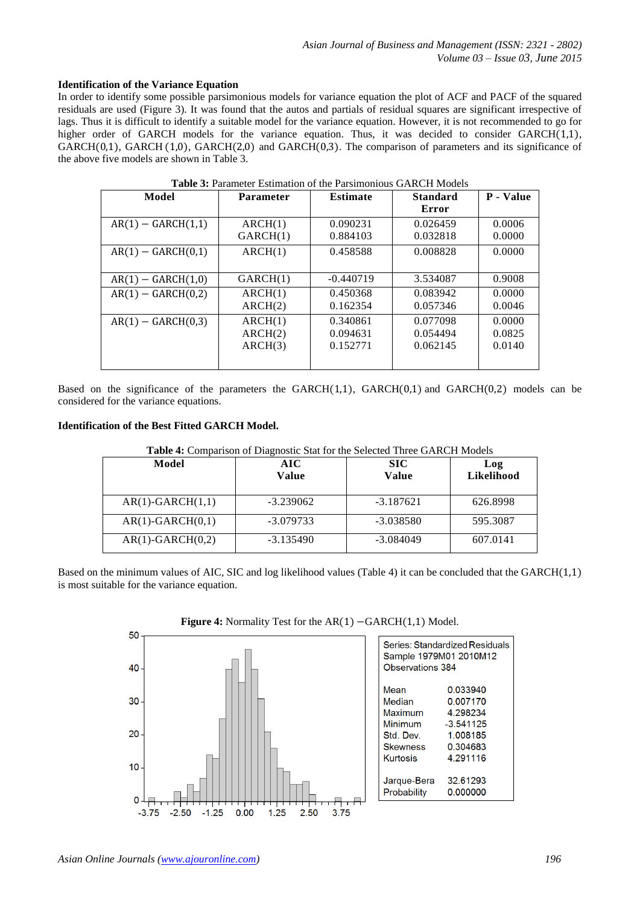### **Identification of the Variance Equation**

In order to identify some possible parsimonious models for variance equation the plot of ACF and PACF of the squared residuals are used (Figure 3). It was found that the autos and partials of residual squares are significant irrespective of lags. Thus it is difficult to identify a suitable model for the variance equation. However, it is not recommended to go for higher order of GARCH models for the variance equation. Thus, it was decided to consider GARCH(1,1), GARCH(0,1), GARCH(1,0), GARCH(2,0) and GARCH(0,3). The comparison of parameters and its significance of the above five models are shown in Table 3.

| Model                | <b>Parameter</b> | <b>Estimate</b> | <b>Standard</b><br>Error | P - Value |
|----------------------|------------------|-----------------|--------------------------|-----------|
| $AR(1) - GARCH(1,1)$ | ARCH(1)          | 0.090231        | 0.026459                 | 0.0006    |
|                      | GARCH(1)         | 0.884103        | 0.032818                 | 0.0000    |
| $AR(1) - GARCH(0,1)$ | ARCH(1)          | 0.458588        | 0.008828                 | 0.0000    |
| $AR(1) - GARCH(1,0)$ | GARCH(1)         | $-0.440719$     | 3.534087                 | 0.9008    |
| $AR(1) - GARCH(0,2)$ | ARCH(1)          | 0.450368        | 0.083942                 | 0.0000    |
|                      | ARCH(2)          | 0.162354        | 0.057346                 | 0.0046    |
| $AR(1) - GARCH(0,3)$ | ARCH(1)          | 0.340861        | 0.077098                 | 0.0000    |
|                      | ARCH(2)          | 0.094631        | 0.054494                 | 0.0825    |
|                      | ARCH(3)          | 0.152771        | 0.062145                 | 0.0140    |

**Table 3:** Parameter Estimation of the Parsimonious GARCH Models

Based on the significance of the parameters the GARCH $(1,1)$ , GARCH $(0,1)$  and GARCH $(0,2)$  models can be considered for the variance equations.

#### **Identification of the Best Fitted GARCH Model.**

| Model              | <b>AIC</b><br>Value | <b>SIC</b><br>Value | Log<br>Likelihood |
|--------------------|---------------------|---------------------|-------------------|
| $AR(1)-GARCH(1,1)$ | $-3.239062$         | $-3.187621$         | 626.8998          |
| $AR(1)-GARCH(0,1)$ | $-3.079733$         | $-3.038580$         | 595.3087          |
| $AR(1)-GARCH(0,2)$ | $-3.135490$         | $-3.084049$         | 607.0141          |

**Table 4:** Comparison of Diagnostic Stat for the Selected Three GARCH Models

Based on the minimum values of AIC, SIC and log likelihood values (Table 4) it can be concluded that the GARCH(1,1) is most suitable for the variance equation.



**Figure 4:** Normality Test for the AR(1) −GARCH(1,1) Model.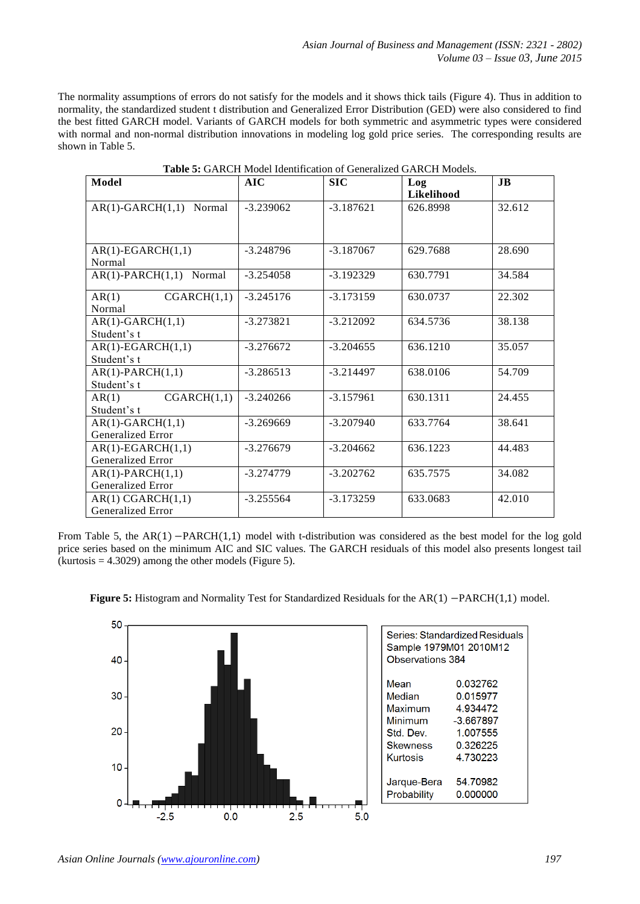The normality assumptions of errors do not satisfy for the models and it shows thick tails (Figure 4). Thus in addition to normality, the standardized student t distribution and Generalized Error Distribution (GED) were also considered to find the best fitted GARCH model. Variants of GARCH models for both symmetric and asymmetric types were considered with normal and non-normal distribution innovations in modeling log gold price series. The corresponding results are shown in Table 5.

| Model                                    | AIC         | <b>SIC</b>  | Log<br><b>Likelihood</b> | <b>JB</b> |
|------------------------------------------|-------------|-------------|--------------------------|-----------|
| $AR(1)-GARCH(1,1)$<br>Normal             | $-3.239062$ | $-3.187621$ | 626.8998                 | 32.612    |
| $AR(1)-EGARCH(1,1)$<br>Normal            | $-3.248796$ | $-3.187067$ | 629.7688                 | 28.690    |
| $AR(1)-PARCH(1,1)$<br>Normal             | $-3.254058$ | $-3.192329$ | 630.7791                 | 34.584    |
| CGARCH(1,1)<br>AR(1)<br>Normal           | $-3.245176$ | $-3.173159$ | 630.0737                 | 22.302    |
| $AR(1)-GARCH(1,1)$<br>Student's t        | $-3.273821$ | $-3.212092$ | 634.5736                 | 38.138    |
| $AR(1)-EGARCH(1,1)$<br>Student's t       | $-3.276672$ | $-3.204655$ | 636.1210                 | 35.057    |
| $AR(1)-PARCH(1,1)$<br>Student's t        | $-3.286513$ | $-3.214497$ | 638.0106                 | 54.709    |
| CGARCH(1,1)<br>AR(1)<br>Student's t      | $-3.240266$ | $-3.157961$ | 630.1311                 | 24.455    |
| $AR(1)-GARCH(1,1)$<br>Generalized Error  | $-3.269669$ | $-3.207940$ | 633.7764                 | 38.641    |
| $AR(1)-EGARCH(1,1)$<br>Generalized Error | $-3.276679$ | $-3.204662$ | 636.1223                 | 44.483    |
| $AR(1)-PARCH(1,1)$<br>Generalized Error  | $-3.274779$ | $-3.202762$ | 635.7575                 | 34.082    |
| AR(1) CGARCH(1,1)<br>Generalized Error   | $-3.255564$ | $-3.173259$ | 633.0683                 | 42.010    |

**Table 5:** GARCH Model Identification of Generalized GARCH Models.

From Table 5, the AR(1) −PARCH(1,1) model with t-distribution was considered as the best model for the log gold price series based on the minimum AIC and SIC values. The GARCH residuals of this model also presents longest tail  $(kurtosis = 4.3029)$  among the other models (Figure 5).



**Figure 5:** Histogram and Normality Test for Standardized Residuals for the AR(1) −PARCH(1,1) model.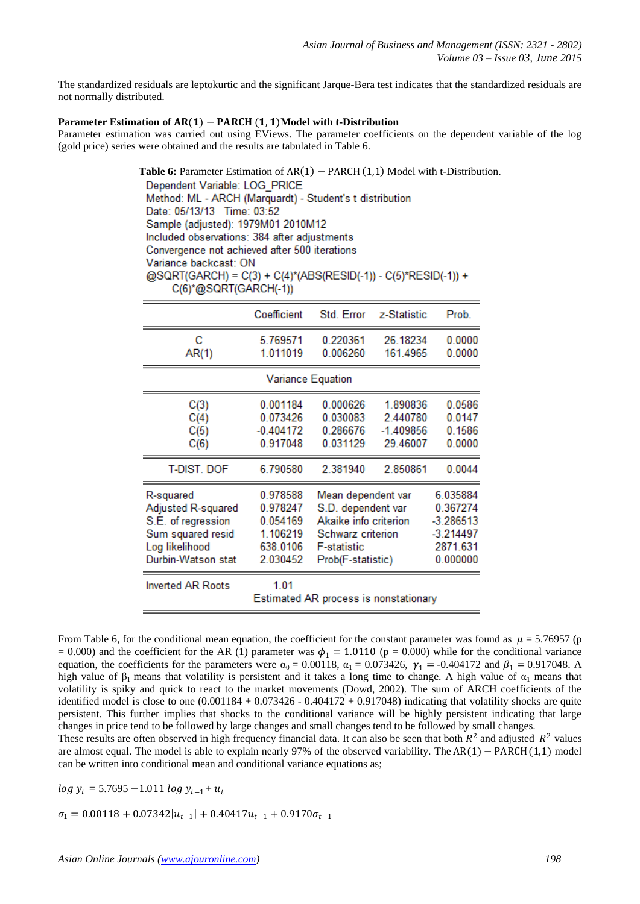The standardized residuals are leptokurtic and the significant Jarque-Bera test indicates that the standardized residuals are not normally distributed.

## Parameter Estimation of AR(1) − PARCH (1, 1)Model with t-Distribution

Parameter estimation was carried out using EViews. The parameter coefficients on the dependent variable of the log (gold price) series were obtained and the results are tabulated in Table 6.

> Table 6: Parameter Estimation of AR(1) − PARCH (1,1) Model with t-Distribution. Dependent Variable: LOG PRICE Method: ML - ARCH (Marquardt) - Student's t distribution Date: 05/13/13 Time: 03:52 Sample (adjusted): 1979M01 2010M12 Included observations: 384 after adjustments Convergence not achieved after 500 iterations Variance backcast: ON @SQRT(GARCH) = C(3) + C(4)\*(ABS(RESID(-1)) - C(5)\*RESID(-1)) + C(6)\*@SQRT(GARCH(-1)) Coefficient Std. Error z-Statistic Prob

| с                        | 5.769571    | 0.220361                              | 26.18234    | 0.0000      |  |  |
|--------------------------|-------------|---------------------------------------|-------------|-------------|--|--|
| AR(1)                    | 1.011019    | 0.006260                              | 161.4965    | 0.0000      |  |  |
| <b>Variance Equation</b> |             |                                       |             |             |  |  |
| C(3)                     | 0.001184    | 0.000626                              | 1.890836    | 0.0586      |  |  |
| C(4)                     | 0.073426    | 0.030083                              | 2.440780    | 0.0147      |  |  |
| C(5)                     | $-0.404172$ | 0.286676                              | $-1.409856$ | 0.1586      |  |  |
| C(6)                     | 0.917048    | 0.031129                              | 29.46007    | 0.0000      |  |  |
| <b>T-DIST. DOF</b>       | 6.790580    | 2.381940                              | 2.850861    | 0.0044      |  |  |
| R-squared                | 0.978588    | Mean dependent var                    |             | 6.035884    |  |  |
| Adjusted R-squared       | 0.978247    | S.D. dependent var                    |             | 0.367274    |  |  |
| S.E. of regression       | 0.054169    | Akaike info criterion                 |             | $-3.286513$ |  |  |
| Sum squared resid        | 1.106219    | Schwarz criterion                     |             | $-3.214497$ |  |  |
| Log likelihood           | 638.0106    | <b>F-statistic</b>                    |             | 2871.631    |  |  |
| Durbin-Watson stat       | 2.030452    | Prob(F-statistic)                     |             | 0.000000    |  |  |
| <b>Inverted AR Roots</b> | 1.01        | Estimated AR process is nonstationary |             |             |  |  |

From Table 6, for the conditional mean equation, the coefficient for the constant parameter was found as  $\mu = 5.76957$  (p = 0.000) and the coefficient for the AR (1) parameter was  $\phi_1 = 1.0110$  (p = 0.000) while for the conditional variance equation, the coefficients for the parameters were  $\alpha_0 = 0.00118$ ,  $\alpha_1 = 0.073426$ ,  $\gamma_1 = -0.404172$  and  $\beta_1 = 0.917048$ . A high value of β<sub>1</sub> means that volatility is persistent and it takes a long time to change. A high value of  $α_1$  means that volatility is spiky and quick to react to the market movements (Dowd, 2002). The sum of ARCH coefficients of the identified model is close to one  $(0.001184 + 0.073426 - 0.404172 + 0.917048)$  indicating that volatility shocks are quite persistent. This further implies that shocks to the conditional variance will be highly persistent indicating that large changes in price tend to be followed by large changes and small changes tend to be followed by small changes.

These results are often observed in high frequency financial data. It can also be seen that both  $R^2$  and adjusted  $R^2$  values are almost equal. The model is able to explain nearly 97% of the observed variability. The AR(1) − PARCH(1,1) model can be written into conditional mean and conditional variance equations as;

 $log y_t = 5.7695 - 1.011 log y_{t-1} + u_t$ 

 $\sigma_1 = 0.00118 + 0.07342|u_{t-1}| + 0.40417u_{t-1} + 0.9170\sigma_{t-1}$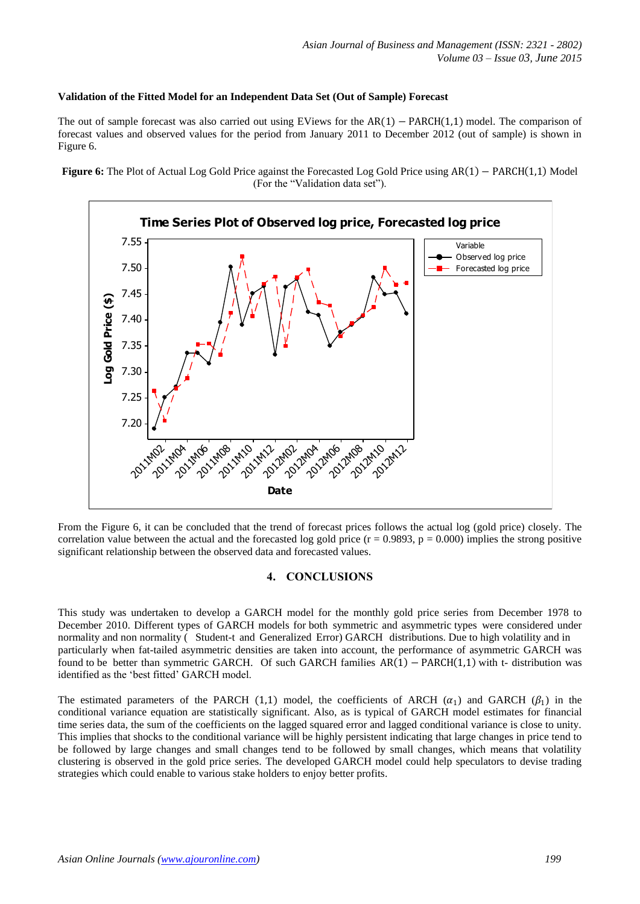## **Validation of the Fitted Model for an Independent Data Set (Out of Sample) Forecast**

The out of sample forecast was also carried out using EViews for the  $AR(1) - PARCH(1,1)$  model. The comparison of forecast values and observed values for the period from January 2011 to December 2012 (out of sample) is shown in Figure 6.

**Figure 6:** The Plot of Actual Log Gold Price against the Forecasted Log Gold Price using AR(1) − PARCH(1,1) Model (For the "Validation data set").



From the Figure 6, it can be concluded that the trend of forecast prices follows the actual log (gold price) closely. The correlation value between the actual and the forecasted log gold price  $(r = 0.9893, p = 0.000)$  implies the strong positive significant relationship between the observed data and forecasted values.

## **4. CONCLUSIONS**

This study was undertaken to develop a GARCH model for the monthly gold price series from December 1978 to December 2010. Different types of GARCH models for both symmetric and asymmetric types were considered under normality and non normality ( Student-t and Generalized Error) GARCH distributions. Due to high volatility and in particularly when fat-tailed asymmetric densities are taken into account, the performance of asymmetric GARCH was found to be better than symmetric GARCH. Of such GARCH families  $AR(1) - PARCH(1,1)$  with t- distribution was identified as the "best fitted" GARCH model.

The estimated parameters of the PARCH (1,1) model, the coefficients of ARCH  $(\alpha_1)$  and GARCH  $(\beta_1)$  in the conditional variance equation are statistically significant. Also, as is typical of GARCH model estimates for financial time series data, the sum of the coefficients on the lagged squared error and lagged conditional variance is close to unity. This implies that shocks to the conditional variance will be highly persistent indicating that large changes in price tend to be followed by large changes and small changes tend to be followed by small changes, which means that volatility clustering is observed in the gold price series. The developed GARCH model could help speculators to devise trading strategies which could enable to various stake holders to enjoy better profits.